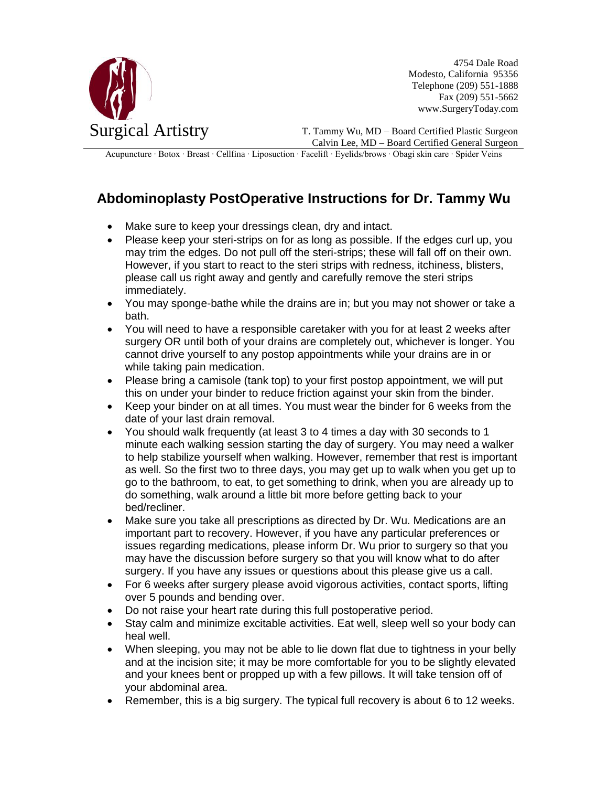

4754 Dale Road Modesto, California 95356 Telephone (209) 551-1888 Fax (209) 551-5662 www.SurgeryToday.com

T. Tammy Wu, MD – Board Certified Plastic Surgeon Calvin Lee, MD – Board Certified General Surgeon

Acupuncture ∙ Botox ∙ Breast ∙ Cellfina ∙ Liposuction ∙ Facelift ∙ Eyelids/brows ∙ Obagi skin care ∙ Spider Veins

## **Abdominoplasty PostOperative Instructions for Dr. Tammy Wu**

- Make sure to keep your dressings clean, dry and intact.
- Please keep your steri-strips on for as long as possible. If the edges curl up, you may trim the edges. Do not pull off the steri-strips; these will fall off on their own. However, if you start to react to the steri strips with redness, itchiness, blisters, please call us right away and gently and carefully remove the steri strips immediately.
- You may sponge-bathe while the drains are in; but you may not shower or take a bath.
- You will need to have a responsible caretaker with you for at least 2 weeks after surgery OR until both of your drains are completely out, whichever is longer. You cannot drive yourself to any postop appointments while your drains are in or while taking pain medication.
- Please bring a camisole (tank top) to your first postop appointment, we will put this on under your binder to reduce friction against your skin from the binder.
- Keep your binder on at all times. You must wear the binder for 6 weeks from the date of your last drain removal.
- You should walk frequently (at least 3 to 4 times a day with 30 seconds to 1 minute each walking session starting the day of surgery. You may need a walker to help stabilize yourself when walking. However, remember that rest is important as well. So the first two to three days, you may get up to walk when you get up to go to the bathroom, to eat, to get something to drink, when you are already up to do something, walk around a little bit more before getting back to your bed/recliner.
- Make sure you take all prescriptions as directed by Dr. Wu. Medications are an important part to recovery. However, if you have any particular preferences or issues regarding medications, please inform Dr. Wu prior to surgery so that you may have the discussion before surgery so that you will know what to do after surgery. If you have any issues or questions about this please give us a call.
- For 6 weeks after surgery please avoid vigorous activities, contact sports, lifting over 5 pounds and bending over.
- Do not raise your heart rate during this full postoperative period.
- Stay calm and minimize excitable activities. Eat well, sleep well so your body can heal well.
- When sleeping, you may not be able to lie down flat due to tightness in your belly and at the incision site; it may be more comfortable for you to be slightly elevated and your knees bent or propped up with a few pillows. It will take tension off of your abdominal area.
- **Remember, this is a big surgery. The typical full recovery is about 6 to 12 weeks.**